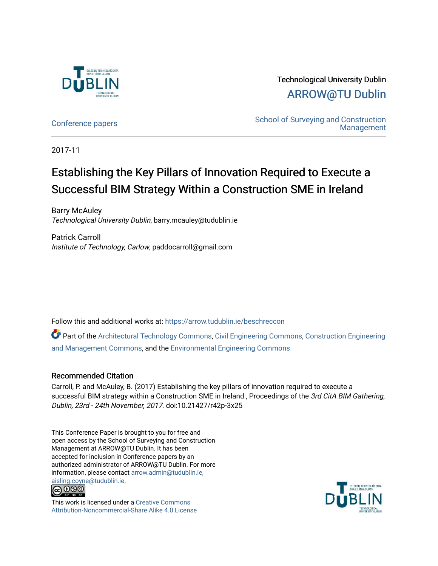

Technological University Dublin [ARROW@TU Dublin](https://arrow.tudublin.ie/) 

[Conference papers](https://arrow.tudublin.ie/beschreccon) School of Surveying and Construction [Management](https://arrow.tudublin.ie/beschrec) 

2017-11

# Establishing the Key Pillars of Innovation Required to Execute a Successful BIM Strategy Within a Construction SME in Ireland

Barry McAuley Technological University Dublin, barry.mcauley@tudublin.ie

Patrick Carroll Institute of Technology, Carlow, paddocarroll@gmail.com

Follow this and additional works at: [https://arrow.tudublin.ie/beschreccon](https://arrow.tudublin.ie/beschreccon?utm_source=arrow.tudublin.ie%2Fbeschreccon%2F121&utm_medium=PDF&utm_campaign=PDFCoverPages)

Part of the [Architectural Technology Commons](http://network.bepress.com/hgg/discipline/1194?utm_source=arrow.tudublin.ie%2Fbeschreccon%2F121&utm_medium=PDF&utm_campaign=PDFCoverPages), [Civil Engineering Commons,](http://network.bepress.com/hgg/discipline/252?utm_source=arrow.tudublin.ie%2Fbeschreccon%2F121&utm_medium=PDF&utm_campaign=PDFCoverPages) [Construction Engineering](http://network.bepress.com/hgg/discipline/253?utm_source=arrow.tudublin.ie%2Fbeschreccon%2F121&utm_medium=PDF&utm_campaign=PDFCoverPages)  [and Management Commons,](http://network.bepress.com/hgg/discipline/253?utm_source=arrow.tudublin.ie%2Fbeschreccon%2F121&utm_medium=PDF&utm_campaign=PDFCoverPages) and the [Environmental Engineering Commons](http://network.bepress.com/hgg/discipline/254?utm_source=arrow.tudublin.ie%2Fbeschreccon%2F121&utm_medium=PDF&utm_campaign=PDFCoverPages) 

#### Recommended Citation

Carroll, P. and McAuley, B. (2017) Establishing the key pillars of innovation required to execute a successful BIM strategy within a Construction SME in Ireland, Proceedings of the 3rd CitA BIM Gathering, Dublin, 23rd - 24th November, 2017. doi:10.21427/r42p-3x25

This Conference Paper is brought to you for free and open access by the School of Surveying and Construction Management at ARROW@TU Dublin. It has been accepted for inclusion in Conference papers by an authorized administrator of ARROW@TU Dublin. For more information, please contact [arrow.admin@tudublin.ie,](mailto:arrow.admin@tudublin.ie,%20aisling.coyne@tudublin.ie)  [aisling.coyne@tudublin.ie.](mailto:arrow.admin@tudublin.ie,%20aisling.coyne@tudublin.ie)<br>@009



This work is licensed under a [Creative Commons](http://creativecommons.org/licenses/by-nc-sa/4.0/) [Attribution-Noncommercial-Share Alike 4.0 License](http://creativecommons.org/licenses/by-nc-sa/4.0/)

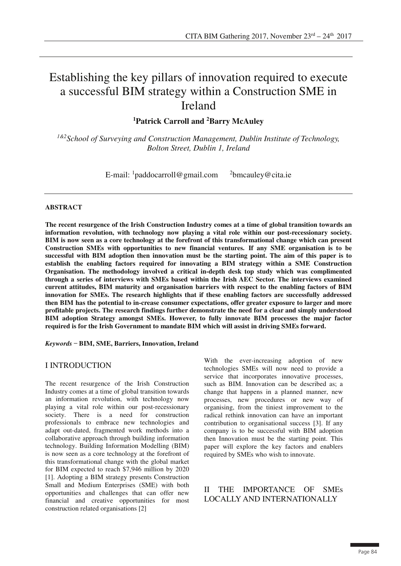## Establishing the key pillars of innovation required to execute a successful BIM strategy within a Construction SME in Ireland

**1Patrick Carroll and 2Barry McAuley**

*1&2School of Surveying and Construction Management, Dublin Institute of Technology, Bolton Street, Dublin 1, Ireland* 

> E-mail:  $\frac{1}{2}$ paddocarroll@gmail.com  $\frac{2}{2}$ <sup>2</sup>bmcauley@cita.ie

#### **ABSTRACT**

**The recent resurgence of the Irish Construction Industry comes at a time of global transition towards an information revolution, with technology now playing a vital role within our post-recessionary society. BIM is now seen as a core technology at the forefront of this transformational change which can present Construction SMEs with opportunities to new financial ventures. If any SME organisation is to be successful with BIM adoption then innovation must be the starting point. The aim of this paper is to establish the enabling factors required for innovating a BIM strategy within a SME Construction Organisation. The methodology involved a critical in-depth desk top study which was complimented through a series of interviews with SMEs based within the Irish AEC Sector. The interviews examined current attitudes, BIM maturity and organisation barriers with respect to the enabling factors of BIM innovation for SMEs. The research highlights that if these enabling factors are successfully addressed then BIM has the potential to in-crease consumer expectations, offer greater exposure to larger and more profitable projects. The research findings further demonstrate the need for a clear and simply understood BIM adoption Strategy amongst SMEs. However, to fully innovate BIM processes the major factor required is for the Irish Government to mandate BIM which will assist in driving SMEs forward.** 

*Keywords*̶ **BIM, SME, Barriers, Innovation, Ireland** 

#### I INTRODUCTION

The recent resurgence of the Irish Construction Industry comes at a time of global transition towards an information revolution, with technology now playing a vital role within our post-recessionary society. There is a need for construction professionals to embrace new technologies and adapt out-dated, fragmented work methods into a collaborative approach through building information technology. Building Information Modelling (BIM) is now seen as a core technology at the forefront of this transformational change with the global market for BIM expected to reach \$7,946 million by 2020 [1]. Adopting a BIM strategy presents Construction Small and Medium Enterprises (SME) with both opportunities and challenges that can offer new financial and creative opportunities for most construction related organisations [2]

With the ever-increasing adoption of new technologies SMEs will now need to provide a service that incorporates innovative processes, such as BIM. Innovation can be described as; a change that happens in a planned manner, new processes, new procedures or new way of organising, from the tiniest improvement to the radical rethink innovation can have an important contribution to organisational success [3]. If any company is to be successful with BIM adoption then Innovation must be the starting point. This paper will explore the key factors and enablers required by SMEs who wish to innovate.

#### II THE IMPORTANCE OF SMEs LOCALLY AND INTERNATIONALLY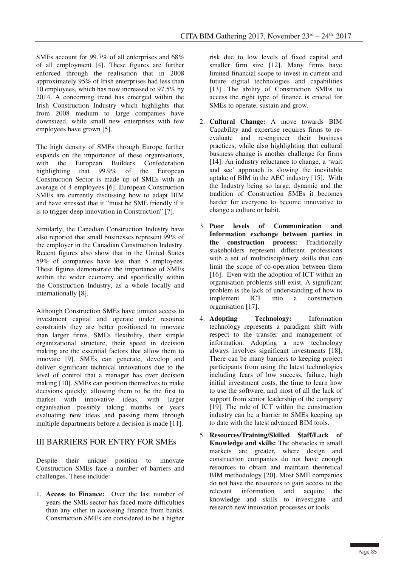SMEs account for 99.7% of all enterprises and 68% of all employment [4]. These figures are further enforced through the realisation that in 2008 approximately 95% of Irish enterprises had less than 10 employees, which has now increased to 97.5% by 2014. A concerning trend has emerged within the Irish Construction Industry which highlights that from 2008 medium to large companies have downsized, while small new enterprises with few employees have grown [5].

The high density of SMEs through Europe further expands on the importance of these organisations, with the European Builders Confederation highlighting that 99.9% of the European Construction Sector is made up of SMEs with an average of 4 employees [6]. European Construction SMEs are currently discussing how to adapt BIM and have stressed that it "must be SME friendly if it is to trigger deep innovation in Construction" [7].

Similarly, the Canadian Construction Industry have also reported that small businesses represent 99% of the employer in the Canadian Construction Industry. Recent figures also show that in the United States 59% of companies have less than 5 employees. These figures demonstrate the importance of SMEs within the wider economy and specifically within the Construction Industry, as a whole locally and internationally [8].

Although Construction SMEs have limited access to investment capital and operate under resource constraints they are better positioned to innovate than larger firms. SMEs flexibility, their simple organizational structure, their speed in decision making are the essential factors that allow them to innovate [9]. SMEs can generate, develop and deliver significant technical innovations due to the level of control that a manager has over decision making [10]. SMEs can position themselves to make decisions quickly, allowing them to be the first to market with innovative ideas, with larger organisation possibly taking months or years evaluating new ideas and passing them through multiple departments before a decision is made [11].

#### III BARRIERS FOR ENTRY FOR SMEs

Despite their unique position to innovate Construction SMEs face a number of barriers and challenges. These include:

1. **Access to Finance:** Over the last number of years the SME sector has faced more difficulties than any other in accessing finance from banks. Construction SMEs are considered to be a higher

risk due to low levels of fixed capital and smaller firm size [12]. Many firms have limited financial scope to invest in current and future digital technologies and capabilities [13]. The ability of Construction SMEs to access the right type of finance is crucial for SMEs to operate, sustain and grow.

- 2. **Cultural Change:** A move towards BIM Capability and expertise requires firms to reevaluate and re-engineer their business practices, while also highlighting that cultural business change is another challenge for firms [14]. An industry reluctance to change, a 'wait and see' approach is slowing the inevitable uptake of BIM in the AEC industry [15]. With the Industry being so large, dynamic and the tradition of Construction SMEs it becomes harder for everyone to become innovative to change a culture or habit.
- 3. **Poor levels of Communication and Information exchange between parties in the construction process:** Traditionally stakeholders represent different professions with a set of multidisciplinary skills that can limit the scope of co-operation between them [16]. Even with the adoption of ICT within an organisation problems still exist. A significant problem is the lack of understanding of how to implement ICT into a construction organisation [17].
- 4. **Adopting Technology:** Information technology represents a paradigm shift with respect to the transfer and management of information. Adopting a new technology always involves significant investments [18]. There can be many barriers to keeping project participants from using the latest technologies including fears of low success, failure, high initial investment costs, the time to learn how to use the software, and most of all the lack of support from senior leadership of the company [19]. The role of ICT within the construction industry can be a barrier to SMEs keeping up to date with the latest advanced BIM tools.
- 5. **Resources/Training/Skilled Staff/Lack of Knowledge and skills:** The obstacles in small markets are greater, where design and construction companies do not have enough resources to obtain and maintain theoretical BIM methodology [20]. Most SME companies do not have the resources to gain access to the relevant information and acquire the knowledge and skills to investigate and research new innovation processes or tools.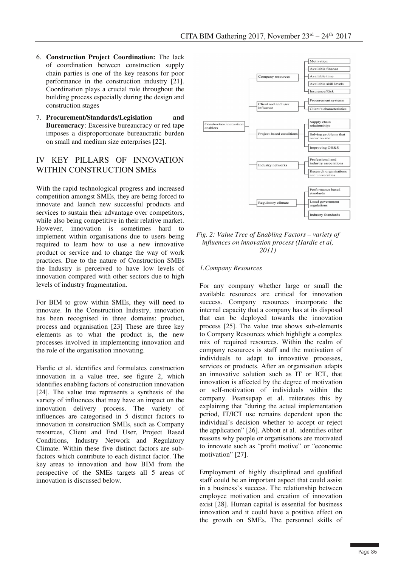- 6. **Construction Project Coordination:** The lack of coordination between construction supply chain parties is one of the key reasons for poor performance in the construction industry [21]. Coordination plays a crucial role throughout the building process especially during the design and construction stages
- 7. **Procurement/Standards/Legislation and Bureaucracy**: Excessive bureaucracy or red tape imposes a disproportionate bureaucratic burden on small and medium size enterprises [22].

#### IV KEY PILLARS OF INNOVATION WITHIN CONSTRUCTION SMEs

With the rapid technological progress and increased competition amongst SMEs, they are being forced to innovate and launch new successful products and services to sustain their advantage over competitors, while also being competitive in their relative market. However, innovation is sometimes hard to implement within organisations due to users being required to learn how to use a new innovative product or service and to change the way of work practices. Due to the nature of Construction SMEs the Industry is perceived to have low levels of innovation compared with other sectors due to high levels of industry fragmentation.

For BIM to grow within SMEs, they will need to innovate. In the Construction Industry, innovation has been recognised in three domains: product, process and organisation [23] These are three key elements as to what the product is, the new processes involved in implementing innovation and the role of the organisation innovating.

Hardie et al. identifies and formulates construction innovation in a value tree, see figure 2, which identifies enabling factors of construction innovation [24]. The value tree represents a synthesis of the variety of influences that may have an impact on the innovation delivery process. The variety of influences are categorised in 5 distinct factors to innovation in construction SMEs, such as Company resources, Client and End User, Project Based Conditions, Industry Network and Regulatory Climate. Within these five distinct factors are subfactors which contribute to each distinct factor. The key areas to innovation and how BIM from the perspective of the SMEs targets all 5 areas of innovation is discussed below.





#### *1.Company Resources*

For any company whether large or small the available resources are critical for innovation success. Company resources incorporate the internal capacity that a company has at its disposal that can be deployed towards the innovation process [25]. The value tree shows sub-elements to Company Resources which highlight a complex mix of required resources. Within the realm of company resources is staff and the motivation of individuals to adapt to innovative processes, services or products. After an organisation adapts an innovative solution such as IT or ICT, that innovation is affected by the degree of motivation or self-motivation of individuals within the company. Peansupap et al. reiterates this by explaining that "during the actual implementation period, IT/ICT use remains dependent upon the individual's decision whether to accept or reject the application" [26]. Abbott et al. identifies other reasons why people or organisations are motivated to innovate such as "profit motive" or "economic motivation" [27].

Employment of highly disciplined and qualified staff could be an important aspect that could assist in a business's success. The relationship between employee motivation and creation of innovation exist [28]. Human capital is essential for business innovation and it could have a positive effect on the growth on SMEs. The personnel skills of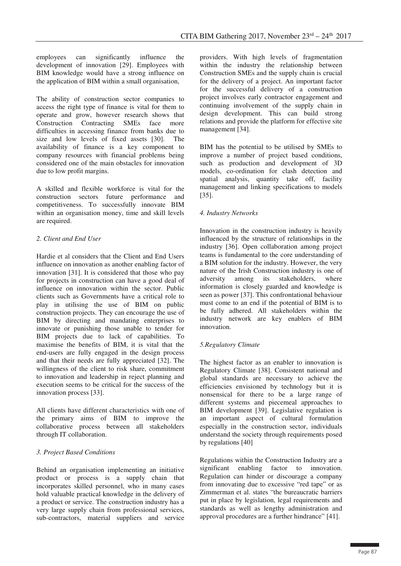employees can significantly influence the development of innovation [29]. Employees with BIM knowledge would have a strong influence on the application of BIM within a small organisation,

The ability of construction sector companies to access the right type of finance is vital for them to operate and grow, however research shows that Construction Contracting SMEs face more difficulties in accessing finance from banks due to size and low levels of fixed assets [30]. The availability of finance is a key component to company resources with financial problems being considered one of the main obstacles for innovation due to low profit margins.

A skilled and flexible workforce is vital for the construction sectors future performance and competitiveness. To successfully innovate BIM within an organisation money, time and skill levels are required.

#### *2. Client and End User*

Hardie et al considers that the Client and End Users influence on innovation as another enabling factor of innovation [31]. It is considered that those who pay for projects in construction can have a good deal of influence on innovation within the sector. Public clients such as Governments have a critical role to play in utilising the use of BIM on public construction projects. They can encourage the use of BIM by directing and mandating enterprises to innovate or punishing those unable to tender for BIM projects due to lack of capabilities. To maximise the benefits of BIM, it is vital that the end-users are fully engaged in the design process and that their needs are fully appreciated [32]. The willingness of the client to risk share, commitment to innovation and leadership in reject planning and execution seems to be critical for the success of the innovation process [33].

All clients have different characteristics with one of the primary aims of BIM to improve the collaborative process between all stakeholders through IT collaboration.

#### *3. Project Based Conditions*

Behind an organisation implementing an initiative product or process is a supply chain that incorporates skilled personnel, who in many cases hold valuable practical knowledge in the delivery of a product or service. The construction industry has a very large supply chain from professional services, sub-contractors, material suppliers and service

providers. With high levels of fragmentation within the industry the relationship between Construction SMEs and the supply chain is crucial for the delivery of a project. An important factor for the successful delivery of a construction project involves early contractor engagement and continuing involvement of the supply chain in design development. This can build strong relations and provide the platform for effective site management [34].

BIM has the potential to be utilised by SMEs to improve a number of project based conditions, such as production and development of 3D models, co-ordination for clash detection and spatial analysis, quantity take off, facility management and linking specifications to models [35].

#### *4. Industry Networks*

Innovation in the construction industry is heavily influenced by the structure of relationships in the industry [36]. Open collaboration among project teams is fundamental to the core understanding of a BIM solution for the industry. However, the very nature of the Irish Construction industry is one of adversity among its stakeholders, where information is closely guarded and knowledge is seen as power [37]. This confrontational behaviour must come to an end if the potential of BIM is to be fully adhered. All stakeholders within the industry network are key enablers of BIM innovation.

#### *5.Regulatory Climate*

The highest factor as an enabler to innovation is Regulatory Climate [38]. Consistent national and global standards are necessary to achieve the efficiencies envisioned by technology but it is nonsensical for there to be a large range of different systems and piecemeal approaches to BIM development [39]. Legislative regulation is an important aspect of cultural formulation especially in the construction sector, individuals understand the society through requirements posed by regulations [40]

Regulations within the Construction Industry are a significant enabling factor to innovation. Regulation can hinder or discourage a company from innovating due to excessive "red tape" or as Zimmerman et al. states "the bureaucratic barriers put in place by legislation, legal requirements and standards as well as lengthy administration and approval procedures are a further hindrance" [41].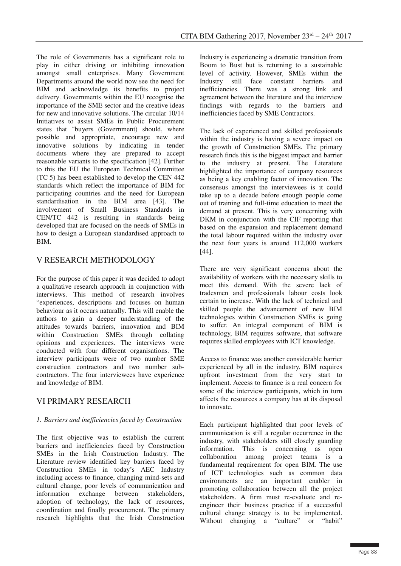The role of Governments has a significant role to play in either driving or inhibiting innovation amongst small enterprises. Many Government Departments around the world now see the need for BIM and acknowledge its benefits to project delivery. Governments within the EU recognise the importance of the SME sector and the creative ideas for new and innovative solutions. The circular 10/14 Initiatives to assist SMEs in Public Procurement states that "buyers (Government) should, where possible and appropriate, encourage new and innovative solutions by indicating in tender documents where they are prepared to accept reasonable variants to the specification [42]. Further to this the EU the European Technical Committee (TC 5) has been established to develop the CEN 442 standards which reflect the importance of BIM for participating countries and the need for European standardisation in the BIM area [43]. The involvement of Small Business Standards in CEN/TC 442 is resulting in standards being developed that are focused on the needs of SMEs in how to design a European standardised approach to BIM.

## V RESEARCH METHODOLOGY

For the purpose of this paper it was decided to adopt a qualitative research approach in conjunction with interviews. This method of research involves "experiences, descriptions and focuses on human behaviour as it occurs naturally. This will enable the authors to gain a deeper understanding of the attitudes towards barriers, innovation and BIM within Construction SMEs through collating opinions and experiences. The interviews were conducted with four different organisations. The interview participants were of two number SME construction contractors and two number subcontractors. The four interviewees have experience and knowledge of BIM.

## VI PRIMARY RESEARCH

#### *1. Barriers and inefficiencies faced by Construction*

The first objective was to establish the current barriers and inefficiencies faced by Construction SMEs in the Irish Construction Industry. The Literature review identified key barriers faced by Construction SMEs in today's AEC Industry including access to finance, changing mind-sets and cultural change, poor levels of communication and information exchange between stakeholders, adoption of technology, the lack of resources, coordination and finally procurement. The primary research highlights that the Irish Construction

Industry is experiencing a dramatic transition from Boom to Bust but is returning to a sustainable level of activity. However, SMEs within the Industry still face constant barriers and inefficiencies. There was a strong link and agreement between the literature and the interview findings with regards to the barriers and inefficiencies faced by SME Contractors.

The lack of experienced and skilled professionals within the industry is having a severe impact on the growth of Construction SMEs. The primary research finds this is the biggest impact and barrier to the industry at present. The Literature highlighted the importance of company resources as being a key enabling factor of innovation. The consensus amongst the interviewees is it could take up to a decade before enough people come out of training and full-time education to meet the demand at present. This is very concerning with DKM in conjunction with the CIF reporting that based on the expansion and replacement demand the total labour required within the industry over the next four years is around 112,000 workers [44].

There are very significant concerns about the availability of workers with the necessary skills to meet this demand. With the severe lack of tradesmen and professionals labour costs look certain to increase. With the lack of technical and skilled people the advancement of new BIM technologies within Construction SMEs is going to suffer. An integral component of BIM is technology, BIM requires software, that software requires skilled employees with ICT knowledge.

Access to finance was another considerable barrier experienced by all in the industry. BIM requires upfront investment from the very start to implement. Access to finance is a real concern for some of the interview participants, which in turn affects the resources a company has at its disposal to innovate.

Each participant highlighted that poor levels of communication is still a regular occurrence in the industry, with stakeholders still closely guarding information. This is concerning as open collaboration among project teams is a fundamental requirement for open BIM. The use of ICT technologies such as common data environments are an important enabler in promoting collaboration between all the project stakeholders. A firm must re-evaluate and reengineer their business practice if a successful cultural change strategy is to be implemented. Without changing a "culture" or "habit"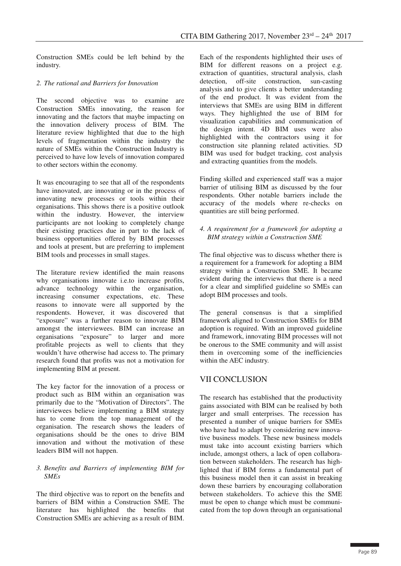Construction SMEs could be left behind by the industry.

#### *2. The rational and Barriers for Innovation*

The second objective was to examine are Construction SMEs innovating, the reason for innovating and the factors that maybe impacting on the innovation delivery process of BIM. The literature review highlighted that due to the high levels of fragmentation within the industry the nature of SMEs within the Construction Industry is perceived to have low levels of innovation compared to other sectors within the economy.

It was encouraging to see that all of the respondents have innovated, are innovating or in the process of innovating new processes or tools within their organisations. This shows there is a positive outlook within the industry. However, the interview participants are not looking to completely change their existing practices due in part to the lack of business opportunities offered by BIM processes and tools at present, but are preferring to implement BIM tools and processes in small stages.

The literature review identified the main reasons why organisations innovate i.e.to increase profits, advance technology within the organisation, increasing consumer expectations, etc. These reasons to innovate were all supported by the respondents. However, it was discovered that "exposure" was a further reason to innovate BIM amongst the interviewees. BIM can increase an organisations "exposure" to larger and more profitable projects as well to clients that they wouldn't have otherwise had access to. The primary research found that profits was not a motivation for implementing BIM at present.

The key factor for the innovation of a process or product such as BIM within an organisation was primarily due to the "Motivation of Directors". The interviewees believe implementing a BIM strategy has to come from the top management of the organisation. The research shows the leaders of organisations should be the ones to drive BIM innovation and without the motivation of these leaders BIM will not happen.

#### *3. Benefits and Barriers of implementing BIM for SMEs*

The third objective was to report on the benefits and barriers of BIM within a Construction SME. The literature has highlighted the benefits that Construction SMEs are achieving as a result of BIM.

Each of the respondents highlighted their uses of BIM for different reasons on a project e.g. extraction of quantities, structural analysis, clash detection, off-site construction, sun-casting analysis and to give clients a better understanding of the end product. It was evident from the interviews that SMEs are using BIM in different ways. They highlighted the use of BIM for visualization capabilities and communication of the design intent. 4D BIM uses were also highlighted with the contractors using it for construction site planning related activities. 5D BIM was used for budget tracking, cost analysis and extracting quantities from the models.

Finding skilled and experienced staff was a major barrier of utilising BIM as discussed by the four respondents. Other notable barriers include the accuracy of the models where re-checks on quantities are still being performed.

#### *4. A requirement for a framework for adopting a BIM strategy within a Construction SME*

The final objective was to discuss whether there is a requirement for a framework for adopting a BIM strategy within a Construction SME. It became evident during the interviews that there is a need for a clear and simplified guideline so SMEs can adopt BIM processes and tools.

The general consensus is that a simplified framework aligned to Construction SMEs for BIM adoption is required. With an improved guideline and framework, innovating BIM processes will not be onerous to the SME community and will assist them in overcoming some of the inefficiencies within the AEC industry.

## VII CONCLUSION

The research has established that the productivity gains associated with BIM can be realised by both larger and small enterprises. The recession has presented a number of unique barriers for SMEs who have had to adapt by considering new innovative business models. These new business models must take into account existing barriers which include, amongst others, a lack of open collaboration between stakeholders. The research has highlighted that if BIM forms a fundamental part of this business model then it can assist in breaking down these barriers by encouraging collaboration between stakeholders. To achieve this the SME must be open to change which must be communicated from the top down through an organisational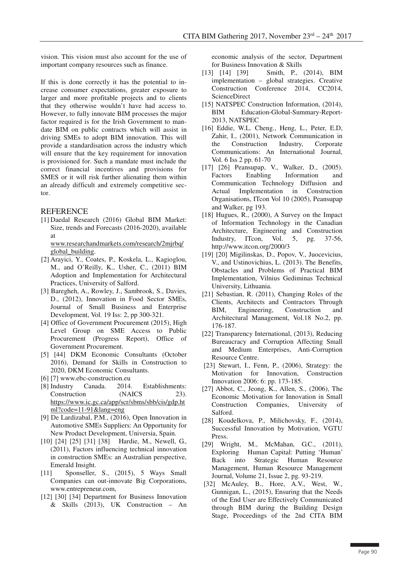vision. This vision must also account for the use of important company resources such as finance.

If this is done correctly it has the potential to increase consumer expectations, greater exposure to larger and more profitable projects and to clients that they otherwise wouldn't have had access to. However, to fully innovate BIM processes the major factor required is for the Irish Government to mandate BIM on public contracts which will assist in driving SMEs to adopt BIM innovation. This will provide a standardisation across the industry which will ensure that the key requirement for innovation is provisioned for. Such a mandate must include the correct financial incentives and provisions for SMES or it will risk further alienating them within an already difficult and extremely competitive sector.

#### REFERENCE

 [1] Daedal Research (2016) Global BIM Market: Size, trends and Forecasts (2016-2020), available at

www.researchandmarkets.com/research/2mjrbq/ global\_building.

- [2] Arayici, Y., Coates, P., Koskela, L., Kagioglou, M., and O'Reilly, K., Usher, C., (2011) BIM Adoption and Implementation for Architectural Practices, University of Salford.
- [3] Baregheh, A., Rowley, J., Sambrook, S., Davies, D., (2012), Innovation in Food Sector SMEs, Journal of Small Business and Enterprise Development, Vol. 19 Iss: 2, pp 300-321.
- [4] Office of Government Procurement (2015), High Level Group on SME Access to Public Procurement (Progress Report), Office of Government Procurement.
- [5] [44] DKM Economic Consultants (October 2016), Demand for Skills in Construction to 2020, DKM Economic Consultants.
- [6] [7] www.ebc-construction.eu
- [8] Industry Canada. 2014. Establishments: Construction (NAICS 23). https://www.ic.gc.ca/app/scr/sbms/sbb/cis/gdp.ht ml?code=11-91&lang=eng
- [9] De Lardizabal, P.M., (2016), Open Innovation in Automotive SMEs Suppliers: An Opportunity for New Product Development, Universia, Spain.
- [10] [24] [25] [31] [38] Hardie, M., Newell, G., (2011), Factors influencing technical innovation in construction SMEs: an Australian perspective, Emerald Insight.
- [11] Sponseller, S., (2015), 5 Ways Small Companies can out-innovate Big Corporations, www.entrepreneur.com,
- [12] [30] [34] Department for Business Innovation & Skills (2013), UK Construction – An

economic analysis of the sector, Department for Business Innovation & Skills

- [13] [14] [39] Smith, P., (2014), BIM implementation – global strategies. Creative Construction Conference 2014, CC2014, ScienceDirect
- [15] NATSPEC Construction Information,  $(2014)$ , BIM Education-Global-Summary-Report-2013, NATSPEC
- [16] Eddie, W.L. Cheng., Heng, L., Peter, E.D, Zahir, I., (2001), Network Communication in the Construction Industry, Corporate Communications: An International Journal, Vol. 6 Iss 2 pp. 61-70
- [17] [26] Peansupap, V., Walker, D., (2005). Factors Enabling Information and Communication Technology Diffusion and Actual Implementation in Construction Organisations, ITcon Vol 10 (2005), Peansupap and Walker, pg 193.
- [18] Hugues, R., (2000), A Survey on the Impact of Information Technology in the Canadian Architecture, Engineering and Construction Industry, ITcon, Vol. 5, pg. 37-56, http://www.itcon.org/2000/3
- [19] [20] Migilinskas, D., Popov, V., Juocevicius, V., and Ustinovichius, L. (2013). The Benefits, Obstacles and Problems of Practical BIM Implementation, Vilnius Gediminas Technical University, Lithuania.
- [21] Sebastian, R. (2011), Changing Roles of the Clients, Architects and Contractors Through BIM, Engineering, Construction and Architectural Management, Vol.18 No.2, pp. 176-187.
- [22] Transparency International, (2013), Reducing Bureaucracy and Corruption Affecting Small and Medium Enterprises, Anti-Corruption Resource Centre.
- [23] Stewart, I., Fenn, P., (2006), Strategy: the Motivation for Innovation, Construction Innovation 2006: 6: pp. 173-185.
- [27] Abbot, C., Jeong, K., Allen, S., (2006), The Economic Motivation for Innovation in Small Construction Companies, University of Salford.
- [28] Koudelkova, P., Milichovsky, F., (2014), Successful Innovation by Motivation, VGTU Press.
- [29] Wright, M., McMahan, G.C., (2011), Exploring Human Capital: Putting 'Human' Back into Strategic Human Resource Management, Human Resource Management Journal, Volume 21, Issue 2, pg. 93-219.
- [32] McAuley, B., Hore, A.V., West, W., Gunnigan, L., (2015), Ensuring that the Needs of the End User are Effectively Communicated through BIM during the Building Design Stage, Proceedings of the 2nd CITA BIM